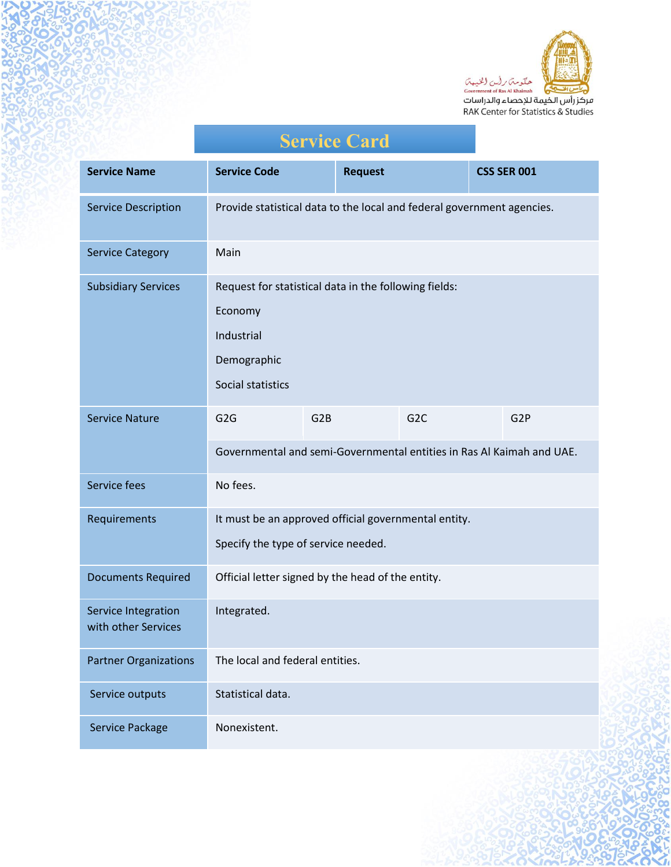

| عركر راس الخيمة للإحصاء والدراسات              |
|------------------------------------------------|
| <b>RAK Center for Statistics &amp; Studies</b> |
|                                                |

|                                            | <b>Service Card</b>                                                                                                |                  |                  |  |                    |
|--------------------------------------------|--------------------------------------------------------------------------------------------------------------------|------------------|------------------|--|--------------------|
| <b>Service Name</b>                        | <b>Service Code</b>                                                                                                | <b>Request</b>   |                  |  | <b>CSS SER 001</b> |
| <b>Service Description</b>                 | Provide statistical data to the local and federal government agencies.                                             |                  |                  |  |                    |
| <b>Service Category</b>                    | Main                                                                                                               |                  |                  |  |                    |
| <b>Subsidiary Services</b>                 | Request for statistical data in the following fields:<br>Economy<br>Industrial<br>Demographic<br>Social statistics |                  |                  |  |                    |
| <b>Service Nature</b>                      | G <sub>2</sub> G<br>Governmental and semi-Governmental entities in Ras Al Kaimah and UAE.                          | G <sub>2</sub> B | G <sub>2</sub> C |  | G <sub>2P</sub>    |
| Service fees                               | No fees.                                                                                                           |                  |                  |  |                    |
| Requirements                               | It must be an approved official governmental entity.<br>Specify the type of service needed.                        |                  |                  |  |                    |
| <b>Documents Required</b>                  | Official letter signed by the head of the entity.                                                                  |                  |                  |  |                    |
| Service Integration<br>with other Services | Integrated.                                                                                                        |                  |                  |  |                    |
| <b>Partner Organizations</b>               | The local and federal entities.                                                                                    |                  |                  |  |                    |
| Service outputs                            | Statistical data.                                                                                                  |                  |                  |  |                    |
| Service Package                            | Nonexistent.                                                                                                       |                  |                  |  |                    |